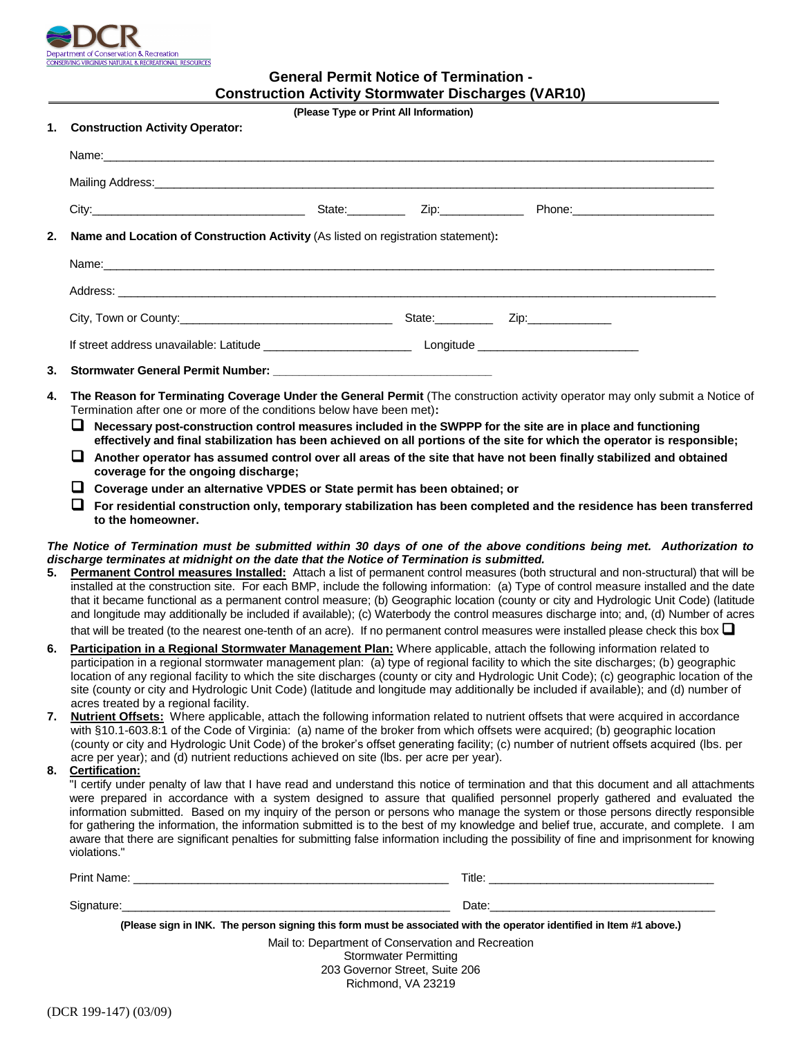

# **General Permit Notice of Termination - Construction Activity Stormwater Discharges (VAR10)**

| Construction Activity Stormwater Discharges (VAR10)<br>(Please Type or Print All Information) |                                                                                                                                                                                                                                                                                                                                                                                                                                                                                                                                                                                                                                                                                                                                                                                                           |                                                                                                                     |  |                                                                                                                       |  |  |
|-----------------------------------------------------------------------------------------------|-----------------------------------------------------------------------------------------------------------------------------------------------------------------------------------------------------------------------------------------------------------------------------------------------------------------------------------------------------------------------------------------------------------------------------------------------------------------------------------------------------------------------------------------------------------------------------------------------------------------------------------------------------------------------------------------------------------------------------------------------------------------------------------------------------------|---------------------------------------------------------------------------------------------------------------------|--|-----------------------------------------------------------------------------------------------------------------------|--|--|
| 1.                                                                                            | <b>Construction Activity Operator:</b>                                                                                                                                                                                                                                                                                                                                                                                                                                                                                                                                                                                                                                                                                                                                                                    |                                                                                                                     |  |                                                                                                                       |  |  |
|                                                                                               | Name: Name: Name: Name: Name: Name: Name: Name: Name: Name: Name: Name: Name: Name: Name: Name: Name: Name: Name: Name: Name: Name: Name: Name: Name: Name: Name: Name: Name: Name: Name: Name: Name: Name: Name: Name: Name:                                                                                                                                                                                                                                                                                                                                                                                                                                                                                                                                                                             |                                                                                                                     |  |                                                                                                                       |  |  |
|                                                                                               |                                                                                                                                                                                                                                                                                                                                                                                                                                                                                                                                                                                                                                                                                                                                                                                                           |                                                                                                                     |  |                                                                                                                       |  |  |
|                                                                                               |                                                                                                                                                                                                                                                                                                                                                                                                                                                                                                                                                                                                                                                                                                                                                                                                           |                                                                                                                     |  |                                                                                                                       |  |  |
| 2.                                                                                            | Name and Location of Construction Activity (As listed on registration statement):                                                                                                                                                                                                                                                                                                                                                                                                                                                                                                                                                                                                                                                                                                                         |                                                                                                                     |  |                                                                                                                       |  |  |
|                                                                                               |                                                                                                                                                                                                                                                                                                                                                                                                                                                                                                                                                                                                                                                                                                                                                                                                           |                                                                                                                     |  |                                                                                                                       |  |  |
|                                                                                               |                                                                                                                                                                                                                                                                                                                                                                                                                                                                                                                                                                                                                                                                                                                                                                                                           |                                                                                                                     |  |                                                                                                                       |  |  |
|                                                                                               |                                                                                                                                                                                                                                                                                                                                                                                                                                                                                                                                                                                                                                                                                                                                                                                                           |                                                                                                                     |  |                                                                                                                       |  |  |
|                                                                                               |                                                                                                                                                                                                                                                                                                                                                                                                                                                                                                                                                                                                                                                                                                                                                                                                           |                                                                                                                     |  |                                                                                                                       |  |  |
| 3.                                                                                            |                                                                                                                                                                                                                                                                                                                                                                                                                                                                                                                                                                                                                                                                                                                                                                                                           |                                                                                                                     |  |                                                                                                                       |  |  |
|                                                                                               | coverage for the ongoing discharge;<br>□ Coverage under an alternative VPDES or State permit has been obtained; or<br>ப<br>to the homeowner.                                                                                                                                                                                                                                                                                                                                                                                                                                                                                                                                                                                                                                                              |                                                                                                                     |  | For residential construction only, temporary stabilization has been completed and the residence has been transferred  |  |  |
|                                                                                               |                                                                                                                                                                                                                                                                                                                                                                                                                                                                                                                                                                                                                                                                                                                                                                                                           |                                                                                                                     |  | The Notice of Termination must be submitted within 30 days of one of the above conditions being met. Authorization to |  |  |
| 5.                                                                                            | discharge terminates at midnight on the date that the Notice of Termination is submitted.<br>Permanent Control measures Installed: Attach a list of permanent control measures (both structural and non-structural) that will be<br>installed at the construction site. For each BMP, include the following information: (a) Type of control measure installed and the date<br>that it became functional as a permanent control measure; (b) Geographic location (county or city and Hydrologic Unit Code) (latitude<br>and longitude may additionally be included if available); (c) Waterbody the control measures discharge into; and, (d) Number of acres<br>that will be treated (to the nearest one-tenth of an acre). If no permanent control measures were installed please check this box $\Box$ |                                                                                                                     |  |                                                                                                                       |  |  |
| 6.                                                                                            | Participation in a Regional Stormwater Management Plan: Where applicable, attach the following information related to<br>participation in a regional stormwater management plan: (a) type of regional facility to which the site discharges; (b) geographic<br>location of any regional facility to which the site discharges (county or city and Hydrologic Unit Code); (c) geographic location of the<br>site (county or city and Hydrologic Unit Code) (latitude and longitude may additionally be included if available); and (d) number of                                                                                                                                                                                                                                                           |                                                                                                                     |  |                                                                                                                       |  |  |
| 7.<br>8.                                                                                      | acres treated by a regional facility.<br>Nutrient Offsets: Where applicable, attach the following information related to nutrient offsets that were acquired in accordance<br>with §10.1-603.8:1 of the Code of Virginia: (a) name of the broker from which offsets were acquired; (b) geographic location<br>(county or city and Hydrologic Unit Code) of the broker's offset generating facility; (c) number of nutrient offsets acquired (lbs. per<br>acre per year); and (d) nutrient reductions achieved on site (lbs. per acre per year).<br>Certification:                                                                                                                                                                                                                                         |                                                                                                                     |  |                                                                                                                       |  |  |
|                                                                                               |                                                                                                                                                                                                                                                                                                                                                                                                                                                                                                                                                                                                                                                                                                                                                                                                           | ponelized low that I have read and understand this paties of termination and that this desument and all ottachments |  |                                                                                                                       |  |  |

"I certify under penalty of law that I have read and understand this notice of termination and that this document and all attachments were prepared in accordance with a system designed to assure that qualified personnel properly gathered and evaluated the information submitted. Based on my inquiry of the person or persons who manage the system or those persons directly responsible for gathering the information, the information submitted is to the best of my knowledge and belief true, accurate, and complete. I am aware that there are significant penalties for submitting false information including the possibility of fine and imprisonment for knowing violations."

| Print Name: | Title. |
|-------------|--------|
|             |        |
| Signature   | Date:  |

**(Please sign in INK. The person signing this form must be associated with the operator identified in Item #1 above.)**

Mail to: Department of Conservation and Recreation Stormwater Permitting 203 Governor Street, Suite 206 Richmond, VA 23219